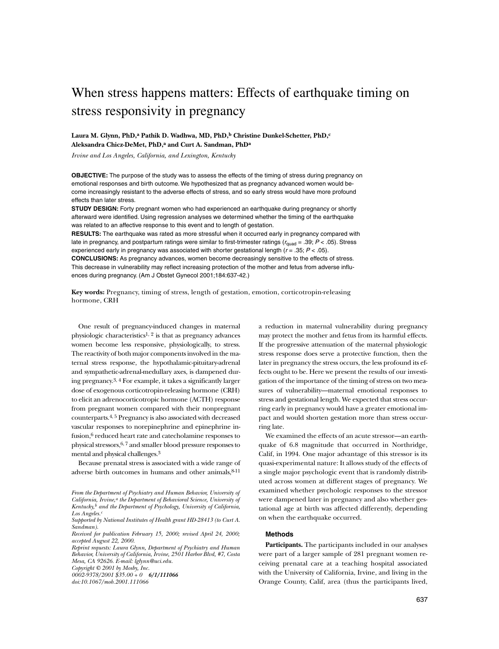# When stress happens matters: Effects of earthquake timing on stress responsivity in pregnancy

## Laura M. Glynn, PhD,<sup>a</sup> Pathik D. Wadhwa, MD, PhD,<sup>b</sup> Christine Dunkel-Schetter, PhD,<sup>c</sup> **Aleksandra Chicz-DeMet, PhD,a and Curt A. Sandman, PhDa**

*Irvine and Los Angeles, California, and Lexington, Kentucky*

**OBJECTIVE:** The purpose of the study was to assess the effects of the timing of stress during pregnancy on emotional responses and birth outcome. We hypothesized that as pregnancy advanced women would become increasingly resistant to the adverse effects of stress, and so early stress would have more profound effects than later stress.

**STUDY DESIGN:** Forty pregnant women who had experienced an earthquake during pregnancy or shortly afterward were identified. Using regression analyses we determined whether the timing of the earthquake was related to an affective response to this event and to length of gestation.

**RESULTS:** The earthquake was rated as more stressful when it occurred early in pregnancy compared with late in pregnancy, and postpartum ratings were similar to first-trimester ratings ( $r_{\text{quad}} = .39; P < .05$ ). Stress experienced early in pregnancy was associated with shorter gestational length (*r* = .35; *P* < .05). **CONCLUSIONS:** As pregnancy advances, women become decreasingly sensitive to the effects of stress.

This decrease in vulnerability may reflect increasing protection of the mother and fetus from adverse influences during pregnancy. (Am J Obstet Gynecol 2001;184:637-42.)

**Key words:** Pregnancy, timing of stress, length of gestation, emotion, corticotropin-releasing hormone, CRH

One result of pregnancy-induced changes in maternal physiologic characteristics<sup>1, 2</sup> is that as pregnancy advances women become less responsive, physiologically, to stress. The reactivity of both major components involved in the maternal stress response, the hypothalamic-pituitary-adrenal and sympathetic-adrenal-medullary axes, is dampened during pregnancy.3, 4 For example, it takes a significantly larger dose of exogenous corticotropin-releasing hormone (CRH) to elicit an adrenocorticotropic hormone (ACTH) response from pregnant women compared with their nonpregnant counterparts.4, 5 Pregnancy is also associated with decreased vascular responses to norepinephrine and epinephrine infusion,<sup>6</sup> reduced heart rate and catecholamine responses to physical stressors,  $6, 7$  and smaller blood pressure responses to mental and physical challenges.3

Because prenatal stress is associated with a wide range of adverse birth outcomes in humans and other animals, 8-11

*doi:10.1067/mob.2001.111066*

a reduction in maternal vulnerability during pregnancy may protect the mother and fetus from its harmful effects. If the progressive attenuation of the maternal physiologic stress response does serve a protective function, then the later in pregnancy the stress occurs, the less profound its effects ought to be. Here we present the results of our investigation of the importance of the timing of stress on two measures of vulnerability—maternal emotional responses to stress and gestational length. We expected that stress occurring early in pregnancy would have a greater emotional impact and would shorten gestation more than stress occurring late.

We examined the effects of an acute stressor—an earthquake of 6.8 magnitude that occurred in Northridge, Calif, in 1994. One major advantage of this stressor is its quasi-experimental nature: It allows study of the effects of a single major psychologic event that is randomly distributed across women at different stages of pregnancy. We examined whether psychologic responses to the stressor were dampened later in pregnancy and also whether gestational age at birth was affected differently, depending on when the earthquake occurred.

### **Methods**

**Participants.** The participants included in our analyses were part of a larger sample of 281 pregnant women receiving prenatal care at a teaching hospital associated with the University of California, Irvine, and living in the Orange County, Calif, area (thus the participants lived,

*From the Department of Psychiatry and Human Behavior, University of California, Irvine,<sup>a</sup> the Department of Behavioral Science, University of Kentucky,b and the Department of Psychology, University of California, Los Angeles.c*

*Supported by National Institutes of Health grant HD-28413 (to Curt A. Sandman).*

*Received for publication February 15, 2000; revised April 24, 2000; accepted August 22, 2000.*

*Reprint requests: Laura Glynn, Department of Psychiatry and Human Behavior, University of California, Irvine, 2501 Harbor Blvd, #7, Costa Mesa, CA 92626. E-mail: lglynn@uci.edu.*

*Copyright © 2001 by Mosby, Inc.*

*<sup>0002-9378/2001 \$35.00 + 0</sup> 6/1/111066*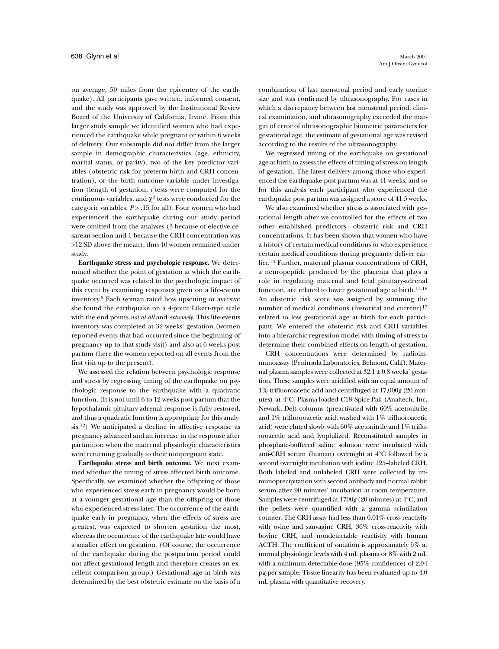on average, 50 miles from the epicenter of the earthquake). All participants gave written, informed consent, and the study was approved by the Institutional Review Board of the University of California, Irvine. From this larger study sample we identified women who had experienced the earthquake while pregnant or within 6 weeks of delivery. Our subsample did not differ from the larger sample in demographic characteristics (age, ethnicity, marital status, or parity), two of the key predictor variables (obstetric risk for preterm birth and CRH concentration), or the birth outcome variable under investigation (length of gestation; *t* tests were computed for the continuous variables, and  $\chi^2$  tests were conducted for the categoric variables; *P* > .15 for all). Four women who had experienced the earthquake during our study period were omitted from the analyses (3 because of elective cesarean section and 1 because the CRH concentration was >12 SD above the mean); thus 40 women remained under study.

**Earthquake stress and psychologic response.** We determined whether the point of gestation at which the earthquake occurred was related to the psychologic impact of this event by examining responses given on a life-events inventory.8 Each woman rated how upsetting or aversive she found the earthquake on a 4-point Likert-type scale with the end points *not at all* and *extremely*. This life-events inventory was completed at 32 weeks' gestation (women reported events that had occurred since the beginning of pregnancy up to that study visit) and also at 6 weeks post partum (here the women reported on all events from the first visit up to the present).

We assessed the relation between psychologic response and stress by regressing timing of the earthquake on psychologic response to the earthquake with a quadratic function. (It is not until 6 to 12 weeks post partum that the hypothalamic-pituitary-adrenal response is fully restored, and thus a quadratic function is appropriate for this analysis.12) We anticipated a decline in affective response as pregnancy advanced and an increase in the response after parturition when the maternal physiologic characteristics were returning gradually to their nonpregnant state.

**Earthquake stress and birth outcome.** We next examined whether the timing of stress affected birth outcome. Specifically, we examined whether the offspring of those who experienced stress early in pregnancy would be born at a younger gestational age than the offspring of those who experienced stress later. The occurrence of the earthquake early in pregnancy, when the effects of stress are greatest, was expected to shorten gestation the most, whereas the occurrence of the earthquake late would have a smaller effect on gestation. (Of course, the occurrence of the earthquake during the postpartum period could not affect gestational length and therefore creates an excellent comparison group.) Gestational age at birth was determined by the best obstetric estimate on the basis of a combination of last menstrual period and early uterine size and was confirmed by ultrasonography. For cases in which a discrepancy between last menstrual period, clinical examination, and ultrasonography exceeded the margin of error of ultrasonographic biometric parameters for gestational age, the estimate of gestational age was revised according to the results of the ultrasonography.

We regressed timing of the earthquake on gestational age at birth to assess the effects of timing of stress on length of gestation. The latest delivery among those who experienced the earthquake post partum was at 41 weeks, and so for this analysis each participant who experienced the earthquake post partum was assigned a score of 41.5 weeks.

We also examined whether stress is associated with gestational length after we controlled for the effects of two other established predictors—obstetric risk and CRH concentrations. It has been shown that women who have a history of certain medical conditions or who experience certain medical conditions during pregnancy deliver earlier.13 Further, maternal plasma concentrations of CRH, a neuropeptide produced by the placenta that plays a role in regulating maternal and fetal pituitary-adrenal function, are related to lower gestational age at birth.14-16 An obstetric risk score was assigned by summing the number of medical conditions (historical and current)<sup>17</sup> related to low gestational age at birth for each participant. We entered the obstetric risk and CRH variables into a hierarchic regression model with timing of stress to determine their combined effects on length of gestation.

CRH concentrations were determined by radioimmunoassay (Peninsula Laboratories, Belmont, Calif). Maternal plasma samples were collected at  $32.1 \pm 0.8$  weeks' gestation. These samples were acidified with an equal amount of 1% trifluoroacetic acid and centrifuged at 17,000*g* (20 minutes) at 4°C. Plasma-loaded C18 Spice-Pak (Analtech, Inc, Newark, Del) columns (preactivated with 60% acetonitrile and 1% trifluoroacetic acid; washed with 1% trifluoroacetic acid) were eluted slowly with 60% acetonitrile and 1% trifluoroacetic acid and lyophilized. Reconstituted samples in phosphate-buffered saline solution were incubated with anti-CRH serum (human) overnight at 4°C followed by a second overnight incubation with iodine 125–labeled CRH. Both labeled and unlabeled CRH were collected by immunoprecipitation with second antibody and normal rabbit serum after 90 minutes' incubation at room temperature. Samples were centrifuged at 1700*g* (20 minutes) at 4°C, and the pellets were quantified with a gamma scintillation counter. The CRH assay had less than 0.01% cross-reactivity with ovine and sauvagine CRH, 36% cross-reactivity with bovine CRH, and nondetectable reactivity with human ACTH. The coefficient of variation is approximately 5% at normal physiologic levels with 4 mL plasma or 8% with 2 mL with a minimum detectable dose (95% confidence) of 2.04 pg per sample. Tissue linearity has been evaluated up to 4.0 mL plasma with quantitative recovery.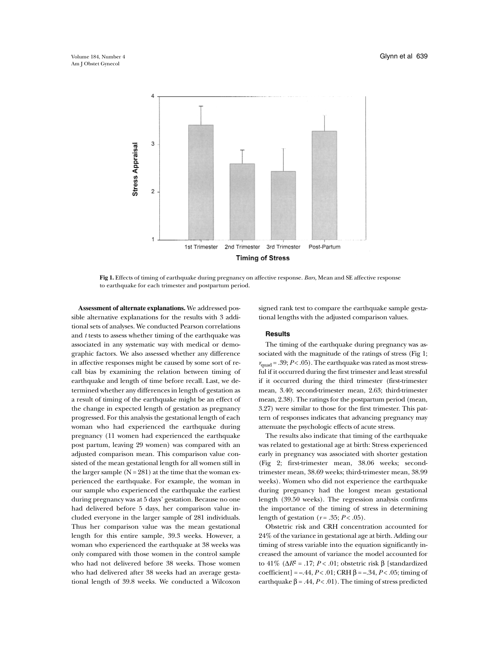

**Fig 1.** Effects of timing of earthquake during pregnancy on affective response. *Bars,* Mean and SE affective response to earthquake for each trimester and postpartum period.

**Assessment of alternate explanations.** We addressed possible alternative explanations for the results with 3 additional sets of analyses. We conducted Pearson correlations and *t* tests to assess whether timing of the earthquake was associated in any systematic way with medical or demographic factors. We also assessed whether any difference in affective responses might be caused by some sort of recall bias by examining the relation between timing of earthquake and length of time before recall. Last, we determined whether any differences in length of gestation as a result of timing of the earthquake might be an effect of the change in expected length of gestation as pregnancy progressed. For this analysis the gestational length of each woman who had experienced the earthquake during pregnancy (11 women had experienced the earthquake post partum, leaving 29 women) was compared with an adjusted comparison mean. This comparison value consisted of the mean gestational length for all women still in the larger sample  $(N = 281)$  at the time that the woman experienced the earthquake. For example, the woman in our sample who experienced the earthquake the earliest during pregnancy was at 5 days' gestation. Because no one had delivered before 5 days, her comparison value included everyone in the larger sample of 281 individuals. Thus her comparison value was the mean gestational length for this entire sample, 39.3 weeks. However, a woman who experienced the earthquake at 38 weeks was only compared with those women in the control sample who had not delivered before 38 weeks. Those women who had delivered after 38 weeks had an average gestational length of 39.8 weeks. We conducted a Wilcoxon signed rank test to compare the earthquake sample gestational lengths with the adjusted comparison values.

#### **Results**

The timing of the earthquake during pregnancy was associated with the magnitude of the ratings of stress (Fig 1;  $r_{\text{quad}}$  = .39; *P* < .05). The earthquake was rated as most stressful if it occurred during the first trimester and least stressful if it occurred during the third trimester (first-trimester mean, 3.40; second-trimester mean, 2.63; third-trimester mean, 2.38). The ratings for the postpartum period (mean, 3.27) were similar to those for the first trimester. This pattern of responses indicates that advancing pregnancy may attenuate the psychologic effects of acute stress.

The results also indicate that timing of the earthquake was related to gestational age at birth: Stress experienced early in pregnancy was associated with shorter gestation (Fig 2; first-trimester mean, 38.06 weeks; secondtrimester mean, 38.69 weeks; third-trimester mean, 38.99 weeks). Women who did not experience the earthquake during pregnancy had the longest mean gestational length (39.50 weeks). The regression analysis confirms the importance of the timing of stress in determining length of gestation ( $r = .35; P < .05$ ).

Obstetric risk and CRH concentration accounted for 24% of the variance in gestational age at birth. Adding our timing of stress variable into the equation significantly increased the amount of variance the model accounted for to 41% ( $\Delta R^2$  = .17; *P* < .01; obstetric risk β [standardized coefficient] = –.44, *P* < .01; CRH β = –.34, *P* < .05; timing of earthquake  $\beta = .44, P < .01$ ). The timing of stress predicted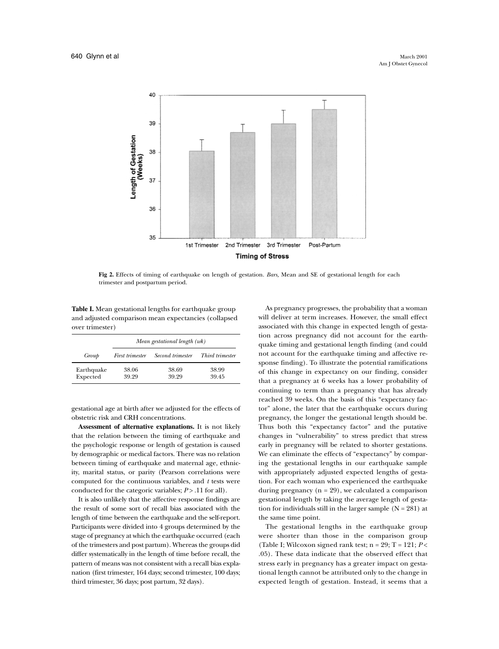

**Fig 2.** Effects of timing of earthquake on length of gestation. *Bars,* Mean and SE of gestational length for each trimester and postpartum period.

**Table I.** Mean gestational lengths for earthquake group and adjusted comparison mean expectancies (collapsed over trimester)

|                        | Mean gestational length (wk) |                  |                 |
|------------------------|------------------------------|------------------|-----------------|
| Group                  | First trimester              | Second trimester | Third trimester |
| Earthquake<br>Expected | 38.06<br>39.29               | 38.69<br>39.29   | 38.99<br>39.45  |

gestational age at birth after we adjusted for the effects of obstetric risk and CRH concentrations.

**Assessment of alternative explanations.** It is not likely that the relation between the timing of earthquake and the psychologic response or length of gestation is caused by demographic or medical factors. There was no relation between timing of earthquake and maternal age, ethnicity, marital status, or parity (Pearson correlations were computed for the continuous variables, and *t* tests were conducted for the categoric variables; *P* > .11 for all).

It is also unlikely that the affective response findings are the result of some sort of recall bias associated with the length of time between the earthquake and the self-report. Participants were divided into 4 groups determined by the stage of pregnancy at which the earthquake occurred (each of the trimesters and post partum). Whereas the groups did differ systematically in the length of time before recall, the pattern of means was not consistent with a recall bias explanation (first trimester, 164 days; second trimester, 100 days; third trimester, 36 days; post partum, 32 days).

As pregnancy progresses, the probability that a woman will deliver at term increases. However, the small effect associated with this change in expected length of gestation across pregnancy did not account for the earthquake timing and gestational length finding (and could not account for the earthquake timing and affective response finding). To illustrate the potential ramifications of this change in expectancy on our finding, consider that a pregnancy at 6 weeks has a lower probability of continuing to term than a pregnancy that has already reached 39 weeks. On the basis of this "expectancy factor" alone, the later that the earthquake occurs during pregnancy, the longer the gestational length should be. Thus both this "expectancy factor" and the putative changes in "vulnerability" to stress predict that stress early in pregnancy will be related to shorter gestations. We can eliminate the effects of "expectancy" by comparing the gestational lengths in our earthquake sample with appropriately adjusted expected lengths of gestation. For each woman who experienced the earthquake during pregnancy  $(n = 29)$ , we calculated a comparison gestational length by taking the average length of gestation for individuals still in the larger sample  $(N = 281)$  at the same time point.

The gestational lengths in the earthquake group were shorter than those in the comparison group (Table I; Wilcoxon signed rank test; n = 29; T = 121; *P* < .05). These data indicate that the observed effect that stress early in pregnancy has a greater impact on gestational length cannot be attributed only to the change in expected length of gestation. Instead, it seems that a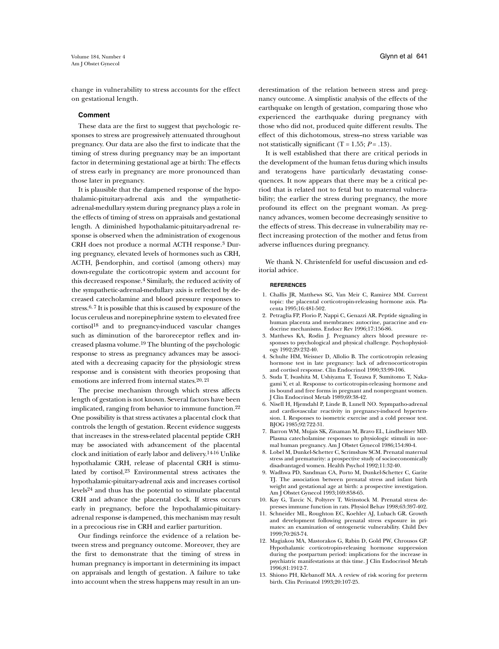change in vulnerability to stress accounts for the effect on gestational length.

#### **Comment**

These data are the first to suggest that psychologic responses to stress are progressively attenuated throughout pregnancy. Our data are also the first to indicate that the timing of stress during pregnancy may be an important factor in determining gestational age at birth: The effects of stress early in pregnancy are more pronounced than those later in pregnancy.

It is plausible that the dampened response of the hypothalamic-pituitary-adrenal axis and the sympatheticadrenal-medullary system during pregnancy plays a role in the effects of timing of stress on appraisals and gestational length. A diminished hypothalamic-pituitary-adrenal response is observed when the administration of exogenous CRH does not produce a normal ACTH response.3 During pregnancy, elevated levels of hormones such as CRH, ACTH, β-endorphin, and cortisol (among others) may down-regulate the corticotropic system and account for this decreased response.4 Similarly, the reduced activity of the sympathetic-adrenal-medullary axis is reflected by decreased catecholamine and blood pressure responses to stress.6, 7 It is possible that this is caused by exposure of the locus ceruleus and norepinephrine system to elevated free cortisol18 and to pregnancy-induced vascular changes such as diminution of the baroreceptor reflex and increased plasma volume.19 The blunting of the psychologic response to stress as pregnancy advances may be associated with a decreasing capacity for the physiologic stress response and is consistent with theories proposing that emotions are inferred from internal states.<sup>20, 21</sup>

The precise mechanism through which stress affects length of gestation is not known. Several factors have been implicated, ranging from behavior to immune function.22 One possibility is that stress activates a placental clock that controls the length of gestation. Recent evidence suggests that increases in the stress-related placental peptide CRH may be associated with advancement of the placental clock and initiation of early labor and delivery.14-16 Unlike hypothalamic CRH, release of placental CRH is stimulated by cortisol.23 Environmental stress activates the hypothalamic-pituitary-adrenal axis and increases cortisol levels24 and thus has the potential to stimulate placental CRH and advance the placental clock. If stress occurs early in pregnancy, before the hypothalamic-pituitaryadrenal response is dampened, this mechanism may result in a precocious rise in CRH and earlier parturition.

Our findings reinforce the evidence of a relation between stress and pregnancy outcome. Moreover, they are the first to demonstrate that the timing of stress in human pregnancy is important in determining its impact on appraisals and length of gestation. A failure to take into account when the stress happens may result in an underestimation of the relation between stress and pregnancy outcome. A simplistic analysis of the effects of the earthquake on length of gestation, comparing those who experienced the earthquake during pregnancy with those who did not, produced quite different results. The effect of this dichotomous, stress–no stress variable was not statistically significant  $(T = 1.55; P = .13)$ .

It is well established that there are critical periods in the development of the human fetus during which insults and teratogens have particularly devastating consequences. It now appears that there may be a critical period that is related not to fetal but to maternal vulnerability; the earlier the stress during pregnancy, the more profound its effect on the pregnant woman. As pregnancy advances, women become decreasingly sensitive to the effects of stress. This decrease in vulnerability may reflect increasing protection of the mother and fetus from adverse influences during pregnancy.

We thank N. Christenfeld for useful discussion and editorial advice.

#### **REFERENCES**

- 1. Challis JR, Matthews SG, Van Meir C, Ramirez MM. Current topic: the placental corticotropin-releasing hormone axis. Placenta 1995;16:481-502.
- 2. Petraglia FP, Florio P, Nappi C, Genazzi AR. Peptide signaling in human placenta and membranes: autocrine, paracrine and endocrine mechanisms. Endocr Rev 1996;17:156-86.
- 3. Matthews KA, Rodin J. Pregnancy alters blood pressure responses to psychological and physical challenge. Psychophysiology 1992;29:232-40.
- 4. Schulte HM, Weisner D, Allolio B. The corticotropin releasing hormone test in late pregnancy: lack of adrenocorticotropin and cortisol response. Clin Endocrinol 1990;33:99-106.
- 5. Suda T, Iwashita M, Ushiyama T, Tozawa F, Sumitomo T, Nakagami Y, et al. Response to corticotropin-releasing hormone and its bound and free forms in pregnant and nonpregnant women. J Clin Endocrinol Metab 1989;69:38-42.
- 6. Nisell H, Hjemdahl P, Linde B, Lunell NO. Sypmpatho-adrenal and cardiovascular reactivity in pregnancy-induced hypertension. I. Responses to isometric exercise and a cold pressor test. BJOG 1985;92:722-31.
- 7. Barron WM, Mujais SK, Zinaman M, Bravo EL, Lindheimer MD. Plasma catecholamine responses to physiologic stimuli in normal human pregnancy. Am J Obstet Gynecol 1986;154:80-4.
- 8. Lobel M, Dunkel-Schetter C, Scrimshaw SCM. Prenatal maternal stress and prematurity: a prospective study of socioeconomically disadvantaged women. Health Psychol 1992;11:32-40.
- 9. Wadhwa PD, Sandman CA, Porto M, Dunkel-Schetter C, Garite TJ. The association between prenatal stress and infant birth weight and gestational age at birth: a prospective investigation. Am J Obstet Gynecol 1993;169:858-65.
- 10. Kay G, Tarcic N, Poltyrev T, Weinstock M. Prenatal stress depresses immune function in rats. Physiol Behav 1998;63:397-402.
- 11. Schneider ML, Roughton EC, Koehler AJ, Lubach GR. Growth and development following prenatal stress exposure in primates: an examination of ontogenetic vulnerability. Child Dev 1999;70:263-74.
- 12. Magiakou MA, Mastorakos G, Rabin D, Gold PW, Chrousos GP. Hypothalamic corticotropin-releasing hormone suppression during the postpartum period: implications for the increase in psychiatric manifestations at this time. J Clin Endocrinol Metab 1996;81:1912-7.
- 13. Shiono PH, Klebanoff MA. A review of risk scoring for preterm birth. Clin Perinatol 1993;20:107-25.